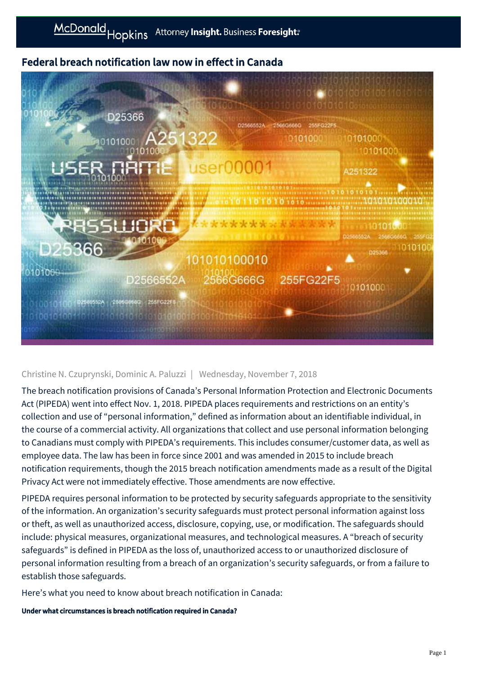# Federal breach notification law now in effect in Canada



# Christine N. Czuprynski, Dominic A. Paluzzi | Wednesday, November 7, 2018

The breach notification provisions of Canada's Personal Information Protection and Electronic Documents Act (PIPEDA) went into effect Nov. 1, 2018. PIPEDA places requirements and restrictions on an entity's collection and use of "personal information," defined as information about an identifiable individual, in the course of a commercial activity. All organizations that collect and use personal information belonging to Canadians must comply with PIPEDA's requirements. This includes consumer/customer data, as well as employee data. The law has been in force since 2001 and was amended in 2015 to include breach notification requirements, though the 2015 breach notification amendments made as a result of the Digital Privacy Act were not immediately effective. Those amendments are now effective.

PIPEDA requires personal information to be protected by security safeguards appropriate to the sensitivity of the information. An organization's security safeguards must protect personal information against loss or theft, as well as unauthorized access, disclosure, copying, use, or modification. The safeguards should include: physical measures, organizational measures, and technological measures. A "breach of security safeguards" is defined in PIPEDA as the loss of, unauthorized access to or unauthorized disclosure of personal information resulting from a breach of an organization's security safeguards, or from a failure to establish those safeguards.

Here's what you need to know about breach notification in Canada:

Under what circumstances is breach notification required in Canada?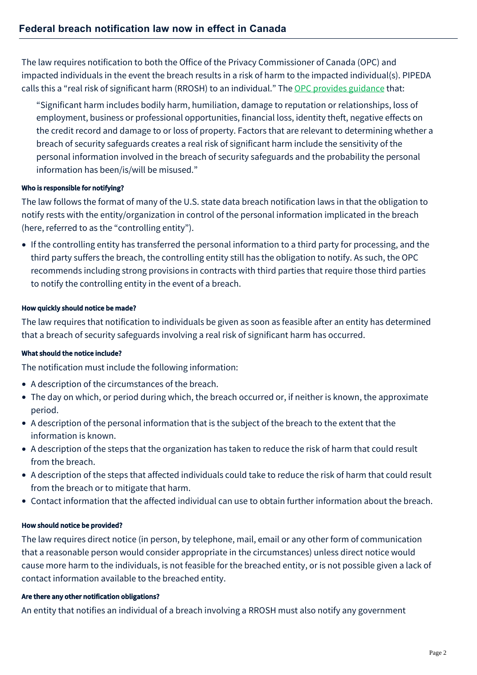The law requires notification to both the Office of the Privacy Commissioner of Canada (OPC) and impacted individuals in the event the breach results in a risk of harm to the impacted individual(s). PIPEDA calls this a "real risk of significant harm (RROSH) to an individual." The [OPC provides guidance](https://www.priv.gc.ca/en/privacy-topics/privacy-breaches/respond-to-a-privacy-breach-at-your-business/gd_pb_201810/) that:

"Significant harm includes bodily harm, humiliation, damage to reputation or relationships, loss of employment, business or professional opportunities, financial loss, identity theft, negative effects on the credit record and damage to or loss of property. Factors that are relevant to determining whether a breach of security safeguards creates a real risk of significant harm include the sensitivity of the personal information involved in the breach of security safeguards and the probability the personal information has been/is/will be misused."

#### Who is responsible for notifying?

The law follows the format of many of the U.S. state data breach notification laws in that the obligation to notify rests with the entity/organization in control of the personal information implicated in the breach (here, referred to as the "controlling entity").

If the controlling entity has transferred the personal information to a third party for processing, and the third party suffers the breach, the controlling entity still has the obligation to notify. As such, the OPC recommends including strong provisions in contracts with third parties that require those third parties to notify the controlling entity in the event of a breach.

## How quickly should notice be made?

The law requires that notification to individuals be given as soon as feasible after an entity has determined that a breach of security safeguards involving a real risk of significant harm has occurred.

#### What should the notice include?

The notification must include the following information:

- A description of the circumstances of the breach.
- The day on which, or period during which, the breach occurred or, if neither is known, the approximate period.
- A description of the personal information that is the subject of the breach to the extent that the information is known.
- A description of the steps that the organization has taken to reduce the risk of harm that could result from the breach.
- A description of the steps that affected individuals could take to reduce the risk of harm that could result from the breach or to mitigate that harm.
- Contact information that the affected individual can use to obtain further information about the breach.

#### How should notice be provided?

The law requires direct notice (in person, by telephone, mail, email or any other form of communication that a reasonable person would consider appropriate in the circumstances) unless direct notice would cause more harm to the individuals, is not feasible for the breached entity, or is not possible given a lack of contact information available to the breached entity.

#### Are there any other notification obligations?

An entity that notifies an individual of a breach involving a RROSH must also notify any government